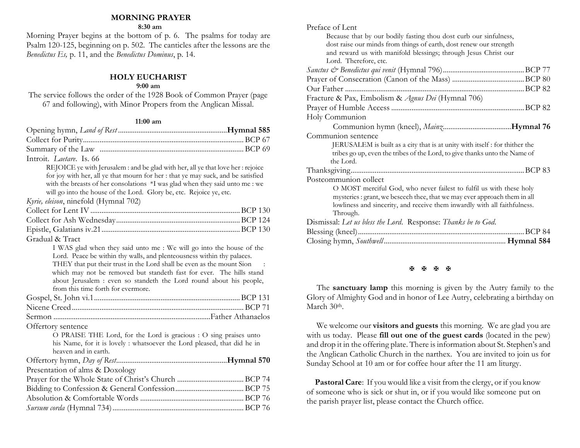### **MORNING PRAYER**

**8:30 am**

Morning Prayer begins at the bottom of p. 6. The psalms for today are Psalm 120-125, beginning on p. 502. The canticles after the lessons are the *Benedictus Es,* p. 11, and the *Benedictus Dominus*, p. 14.

# **HOLY EUCHARIST**

# **9:00 am**

The service follows the order of the 1928 Book of Common Prayer (page 67 and following), with Minor Propers from the Anglican Missal.

#### **11:00 am**

| Introit. <i>Laetare</i> . Is. 66                                                 |  |
|----------------------------------------------------------------------------------|--|
| REJOICE ye with Jerusalem : and be glad with her, all ye that love her : rejoice |  |
| for joy with her, all ye that mourn for her : that ye may suck, and be satisfied |  |
| with the breasts of her consolations *I was glad when they said unto me : we     |  |
| will go into the house of the Lord. Glory be, etc. Rejoice ye, etc.              |  |
| Kyrie, eleison, ninefold (Hymnal 702)                                            |  |
|                                                                                  |  |
|                                                                                  |  |
|                                                                                  |  |
| Gradual & Tract                                                                  |  |
| I WAS glad when they said unto me: We will go into the house of the              |  |
| Lord. Peace be within thy walls, and plenteousness within thy palaces.           |  |
| THEY that put their trust in the Lord shall be even as the mount Sion            |  |
| which may not be removed but standeth fast for ever. The hills stand             |  |
| about Jerusalem : even so standeth the Lord round about his people,              |  |
| from this time forth for evermore.                                               |  |
|                                                                                  |  |
|                                                                                  |  |
|                                                                                  |  |
| Offertory sentence                                                               |  |
| O PRAISE THE Lord, for the Lord is gracious : O sing praises unto                |  |
| his Name, for it is lovely : whatsoever the Lord pleased, that did he in         |  |
| heaven and in earth.                                                             |  |
|                                                                                  |  |
| Presentation of alms & Doxology                                                  |  |
|                                                                                  |  |
|                                                                                  |  |
|                                                                                  |  |
|                                                                                  |  |
|                                                                                  |  |

| Because that by our bodily fasting thou dost curb our sinfulness,<br>dost raise our minds from things of earth, dost renew our strength<br>and reward us with manifold blessings; through Jesus Christ our<br>Lord. Therefore, etc.       |         |
|-------------------------------------------------------------------------------------------------------------------------------------------------------------------------------------------------------------------------------------------|---------|
|                                                                                                                                                                                                                                           |         |
|                                                                                                                                                                                                                                           |         |
|                                                                                                                                                                                                                                           |         |
| Fracture & Pax, Embolism & Agnus Dei (Hymnal 706)                                                                                                                                                                                         |         |
|                                                                                                                                                                                                                                           |         |
| Holy Communion                                                                                                                                                                                                                            |         |
|                                                                                                                                                                                                                                           |         |
| Communion sentence                                                                                                                                                                                                                        |         |
| JERUSALEM is built as a city that is at unity with itself : for thither the<br>tribes go up, even the tribes of the Lord, to give thanks unto the Name of<br>the Lord.                                                                    |         |
|                                                                                                                                                                                                                                           |         |
| Postcommunion collect                                                                                                                                                                                                                     |         |
| O MOST merciful God, who never failest to fulfil us with these holy<br>mysteries : grant, we beseech thee, that we may ever approach them in all<br>lowliness and sincerity, and receive them inwardly with all faithfulness.<br>Through. |         |
| Dismissal: Let us bless the Lord. Response: Thanks be to God.                                                                                                                                                                             |         |
|                                                                                                                                                                                                                                           | .BCP 84 |
|                                                                                                                                                                                                                                           |         |
|                                                                                                                                                                                                                                           |         |

Preface of Lent

## 图图图图

The **sanctuary lamp** this morning is given by the Autry family to the Glory of Almighty God and in honor of Lee Autry, celebrating a birthday on March 30th.

We welcome our **visitors and guests** this morning. We are glad you are with us today. Please **fill out one of the guest cards** (located in the pew) and drop it in the offering plate. There is information about St. Stephen's and the Anglican Catholic Church in the narthex. You are invited to join us for Sunday School at 10 am or for coffee hour after the 11 am liturgy.

**Pastoral Care:** If you would like a visit from the clergy, or if you know of someone who is sick or shut in, or if you would like someone put on the parish prayer list, please contact the Church office.